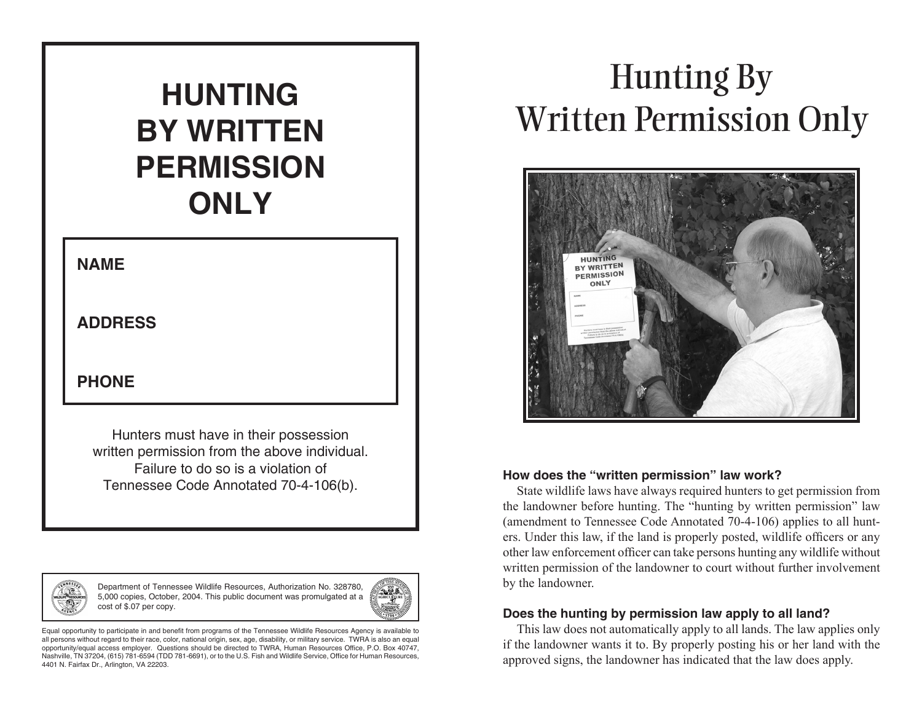# **BY WRITTEN PERMISSION ONLY**

#### **NAME**

#### **ADDRESS**

#### **PHONE**

Hunters must have in their possession written permission from the above individual. Failure to do so is a violation of Tennessee Code Annotated 70-4-106(b).



Department of Tennessee Wildlife Resources, Authorization No. 328780, 5,000 copies, October, 2004. This public document was promulgated at a cost of \$.07 per copy.



Equal opportunity to participate in and benefit from programs of the Tennessee Wildlife Resources Agency is available to all persons without regard to their race, color, national origin, sex, age, disability, or military service. TWRA is also an equal opportunity/equal access employer. Questions should be directed to TWRA, Human Resources Office, P.O. Box 40747, Nashville, TN 37204, (615) 781-6594 (TDD 781-6691), or to the U.S. Fish and Wildlife Service, Office for Human Resources, 4401 N. Fairfax Dr., Arlington, VA 22203.

## Hunting By Written Permission Only **HUNTING**



#### **How does the "written permission" law work?**

State wildlife laws have always required hunters to get permission from the landowner before hunting. The "hunting by written permission" law (amendment to Tennessee Code Annotated 70-4-106) applies to all hunters. Under this law, if the land is properly posted, wildlife officers or any other law enforcement officer can take persons hunting any wildlife without written permission of the landowner to court without further involvement by the landowner.

#### **Does the hunting by permission law apply to all land?**

This law does not automatically apply to all lands. The law applies only if the landowner wants it to. By properly posting his or her land with the approved signs, the landowner has indicated that the law does apply.